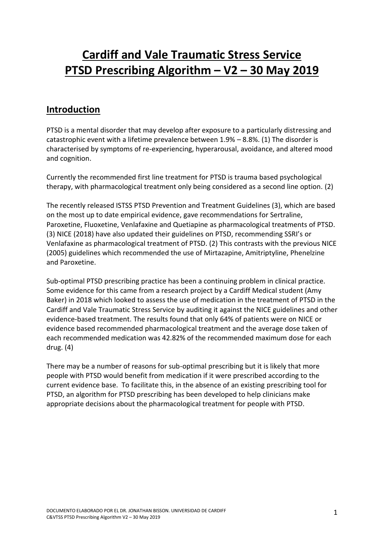# **Cardiff and Vale Traumatic Stress Service PTSD Prescribing Algorithm – V2 – 30 May 2019**

### **Introduction**

PTSD is a mental disorder that may develop after exposure to a particularly distressing and catastrophic event with a lifetime prevalence between 1.9% – 8.8%. (1) The disorder is characterised by symptoms of re-experiencing, hyperarousal, avoidance, and altered mood and cognition.

Currently the recommended first line treatment for PTSD is trauma based psychological therapy, with pharmacological treatment only being considered as a second line option. (2)

The recently released ISTSS PTSD Prevention and Treatment Guidelines (3), which are based on the most up to date empirical evidence, gave recommendations for Sertraline, Paroxetine, Fluoxetine, Venlafaxine and Quetiapine as pharmacological treatments of PTSD. (3) NICE (2018) have also updated their guidelines on PTSD, recommending SSRI's or Venlafaxine as pharmacological treatment of PTSD. (2) This contrasts with the previous NICE (2005) guidelines which recommended the use of Mirtazapine, Amitriptyline, Phenelzine and Paroxetine.

Sub-optimal PTSD prescribing practice has been a continuing problem in clinical practice. Some evidence for this came from a research project by a Cardiff Medical student (Amy Baker) in 2018 which looked to assess the use of medication in the treatment of PTSD in the Cardiff and Vale Traumatic Stress Service by auditing it against the NICE guidelines and other evidence-based treatment. The results found that only 64% of patients were on NICE or evidence based recommended pharmacological treatment and the average dose taken of each recommended medication was 42.82% of the recommended maximum dose for each drug. (4)

There may be a number of reasons for sub-optimal prescribing but it is likely that more people with PTSD would benefit from medication if it were prescribed according to the current evidence base. To facilitate this, in the absence of an existing prescribing tool for PTSD, an algorithm for PTSD prescribing has been developed to help clinicians make appropriate decisions about the pharmacological treatment for people with PTSD.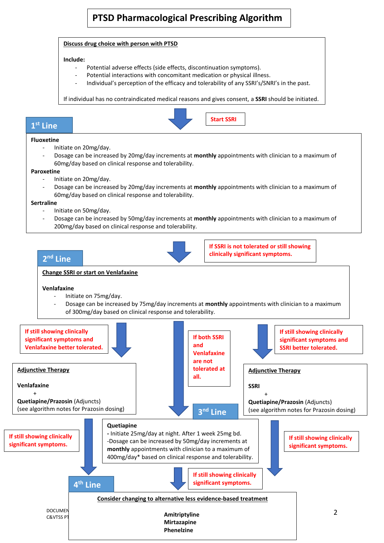## **PTSD Pharmacological Prescribing Algorithm**

#### **Discuss drug choice with person with PTSD**

#### **Include:**

- Potential adverse effects (side effects, discontinuation symptoms).
- Potential interactions with concomitant medication or physical illness.
- Individual's perception of the efficacy and tolerability of any SSRI's/SNRI's in the past.

If individual has no contraindicated medical reasons and gives consent, a **SSRI** should be initiated.



### **1 st Line**

#### **Fluoxetine**

- Initiate on 20mg/day.
- Dosage can be increased by 20mg/day increments at **monthly** appointments with clinician to a maximum of 60mg/day based on clinical response and tolerability.

#### **Paroxetine**

- Initiate on 20mg/day.
- Dosage can be increased by 20mg/day increments at **monthly** appointments with clinician to a maximum of 60mg/day based on clinical response and tolerability.

#### **Sertraline**

- Initiate on 50mg/day.
- Dosage can be increased by 50mg/day increments at **monthly** appointments with clinician to a maximum of 200mg/day based on clinical response and tolerability.



**If SSRI is not tolerated or still showing clinically significant symptoms.**

### **Change SSRI or start on Venlafaxine 2 nd Line**

#### **Venlafaxine**

- Initiate on 75mg/day.
- Dosage can be increased by 75mg/day increments at **monthly** appointments with clinician to a maximum of 300mg/day based on clinical response and tolerability.

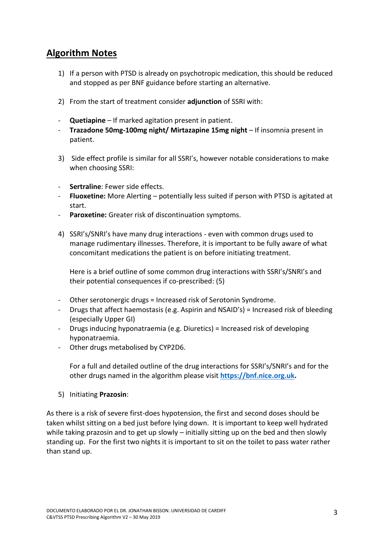### **Algorithm Notes**

- 1) If a person with PTSD is already on psychotropic medication, this should be reduced and stopped as per BNF guidance before starting an alternative.
- 2) From the start of treatment consider **adjunction** of SSRI with:
- **Quetiapine** If marked agitation present in patient.
- **Trazadone 50mg-100mg night/ Mirtazapine 15mg night** If insomnia present in patient.
- 3) Side effect profile is similar for all SSRI's, however notable considerations to make when choosing SSRI:
- **Sertraline**: Fewer side effects.
- **Fluoxetine:** More Alerting potentially less suited if person with PTSD is agitated at start.
- **Paroxetine:** Greater risk of discontinuation symptoms.
- 4) SSRI's/SNRI's have many drug interactions even with common drugs used to manage rudimentary illnesses. Therefore, it is important to be fully aware of what concomitant medications the patient is on before initiating treatment.

Here is a brief outline of some common drug interactions with SSRI's/SNRI's and their potential consequences if co-prescribed: (5)

- Other serotonergic drugs = Increased risk of Serotonin Syndrome.
- Drugs that affect haemostasis (e.g. Aspirin and NSAID's) = Increased risk of bleeding (especially Upper GI)
- Drugs inducing hyponatraemia (e.g. Diuretics) = Increased risk of developing hyponatraemia.
- Other drugs metabolised by CYP2D6.

For a full and detailed outline of the drug interactions for SSRI's/SNRI's and for the other drugs named in the algorithm please visit **[https://bnf.nice.org.uk.](https://bnf.nice.org.uk/)**

5) Initiating **Prazosin**:

As there is a risk of severe first-does hypotension, the first and second doses should be taken whilst sitting on a bed just before lying down. It is important to keep well hydrated while taking prazosin and to get up slowly – initially sitting up on the bed and then slowly standing up. For the first two nights it is important to sit on the toilet to pass water rather than stand up.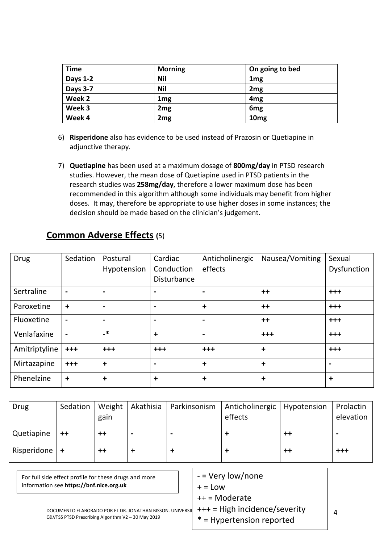| <b>Time</b>     | <b>Morning</b>  | On going to bed  |
|-----------------|-----------------|------------------|
| <b>Days 1-2</b> | Nil             | 1 <sub>mg</sub>  |
| Days 3-7        | <b>Nil</b>      | 2 <sub>mg</sub>  |
| Week 2          | 1 <sub>mg</sub> | 4 <sub>mg</sub>  |
| Week 3          | 2 <sub>mg</sub> | 6 <sub>mg</sub>  |
| Week 4          | 2 <sub>mg</sub> | 10 <sub>mg</sub> |

- 6) **Risperidone** also has evidence to be used instead of Prazosin or Quetiapine in adjunctive therapy.
- 7) **Quetiapine** has been used at a maximum dosage of **800mg/day** in PTSD research studies. However, the mean dose of Quetiapine used in PTSD patients in the research studies was **258mg/day**, therefore a lower maximum dose has been recommended in this algorithm although some individuals may benefit from higher doses. It may, therefore be appropriate to use higher doses in some instances; the decision should be made based on the clinician's judgement.

| <b>Drug</b>   | Sedation                 | Postural<br>Hypotension | Cardiac<br>Conduction<br>Disturbance | Anticholinergic<br>effects | Nausea/Vomiting | Sexual<br>Dysfunction |
|---------------|--------------------------|-------------------------|--------------------------------------|----------------------------|-----------------|-----------------------|
| Sertraline    | $\blacksquare$           | $\blacksquare$          | -                                    | $\overline{\phantom{a}}$   | $++$            | $+++$                 |
| Paroxetine    | $\ddot{}$                | $\blacksquare$          | $\overline{\phantom{0}}$             | $\ddot{}$                  | $++$            | $+ + +$               |
| Fluoxetine    | $\blacksquare$           | $\blacksquare$          | $\blacksquare$                       | $\blacksquare$             | $++$            | $+ + +$               |
| Venlafaxine   | $\overline{\phantom{a}}$ | $\cdot^*$               | $\ddot{}$                            | $\blacksquare$             | $+++$           | $+++$                 |
| Amitriptyline | $+++$                    | $+++$                   | $+++$                                | $+++$                      | $\ddot{}$       | $+ + +$               |
| Mirtazapine   | $+++$                    | $\ddot{}$               | -                                    | $\ddot{}$                  | $\ddot{}$       |                       |
| Phenelzine    | $\ddagger$               | ÷                       | $\ddot{}$                            | $\ddot{}$                  | $\ddot{}$       | $\ddot{}$             |

# **Common Adverse Effects (**5)

| Drug             | Sedation | Weight<br>gain  | Akathisia                | Parkinsonism | Anticholinergic   Hypotension<br>effects |             | Prolactin<br>elevation |
|------------------|----------|-----------------|--------------------------|--------------|------------------------------------------|-------------|------------------------|
| Quetiapine       | $++$     | ++              | $\overline{\phantom{0}}$ |              |                                          | $^{\rm ++}$ |                        |
| Risperidone $ +$ |          | $^{\mathrm{+}}$ |                          |              |                                          | $^{\rm ++}$ | $+++$                  |

| For full side effect profile for these drugs and more<br>information see https://bnf.nice.org.uk                | $-$ = Very low/none<br>$+ =$ Low                             |  |
|-----------------------------------------------------------------------------------------------------------------|--------------------------------------------------------------|--|
|                                                                                                                 | $++ =$ Moderate                                              |  |
| DOCUMENTO ELABORADO POR EL DR. JONATHAN BISSON, UNIVERSIL<br>C&VTSS PTSD Prescribing Algorithm V2 - 30 May 2019 | +++ = High incidence/severity<br>$*$ = Hypertension reported |  |